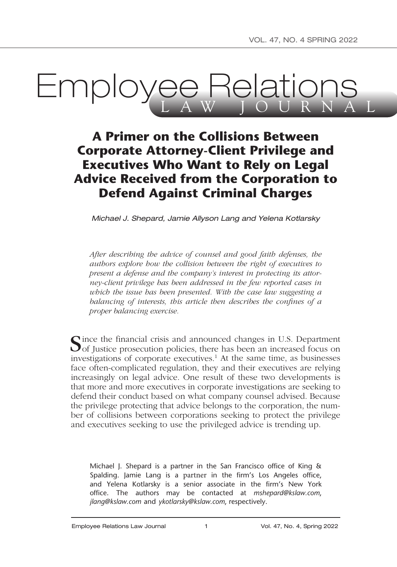# **Employee Relations**

# **A Primer on the Collisions Between Corporate Attorney-Client Privilege and Executives Who Want to Rely on Legal Advice Received from the Corporation to Defend Against Criminal Charges**

*Michael J. Shepard, Jamie Allyson Lang and Yelena Kotlarsky*

*After describing the advice of counsel and good faith defenses, the authors explore how the collision between the right of executives to present a defense and the company's interest in protecting its attorney-client privilege has been addressed in the few reported cases in which the issue has been presented. With the case law suggesting a balancing of interests, this article then describes the confines of a proper balancing exercise.*

 $\bigcap$  ince the financial crisis and announced changes in U.S. Department  $\bigcup$  of Justice prosecution policies, there has been an increased focus on investigations of corporate executives.<sup>1</sup> At the same time, as businesses face often-complicated regulation, they and their executives are relying increasingly on legal advice. One result of these two developments is that more and more executives in corporate investigations are seeking to defend their conduct based on what company counsel advised. Because the privilege protecting that advice belongs to the corporation, the number of collisions between corporations seeking to protect the privilege and executives seeking to use the privileged advice is trending up.

Michael J. Shepard is a partner in the San Francisco office of King & Spalding. Jamie Lang is a partner in the firm's Los Angeles office, and Yelena Kotlarsky is a senior associate in the firm's New York office. The authors may be contacted at *mshepard@kslaw.com*, *jlang@kslaw.com* and *ykotlarsky@kslaw.com*, respectively.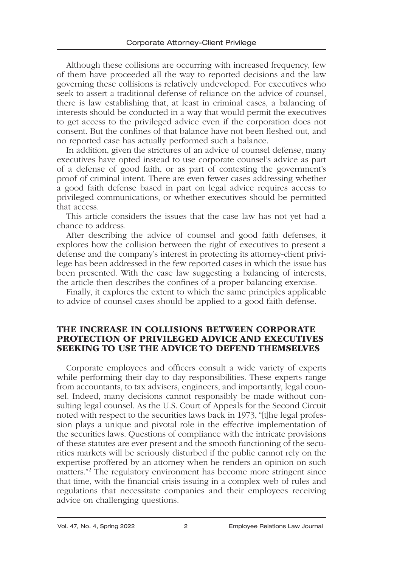Although these collisions are occurring with increased frequency, few of them have proceeded all the way to reported decisions and the law governing these collisions is relatively undeveloped. For executives who seek to assert a traditional defense of reliance on the advice of counsel, there is law establishing that, at least in criminal cases, a balancing of interests should be conducted in a way that would permit the executives to get access to the privileged advice even if the corporation does not consent. But the confines of that balance have not been fleshed out, and no reported case has actually performed such a balance.

In addition, given the strictures of an advice of counsel defense, many executives have opted instead to use corporate counsel's advice as part of a defense of good faith, or as part of contesting the government's proof of criminal intent. There are even fewer cases addressing whether a good faith defense based in part on legal advice requires access to privileged communications, or whether executives should be permitted that access.

This article considers the issues that the case law has not yet had a chance to address.

After describing the advice of counsel and good faith defenses, it explores how the collision between the right of executives to present a defense and the company's interest in protecting its attorney-client privilege has been addressed in the few reported cases in which the issue has been presented. With the case law suggesting a balancing of interests, the article then describes the confines of a proper balancing exercise.

Finally, it explores the extent to which the same principles applicable to advice of counsel cases should be applied to a good faith defense.

#### THE INCREASE IN COLLISIONS BETWEEN CORPORATE PROTECTION OF PRIVILEGED ADVICE AND EXECUTIVES SEEKING TO USE THE ADVICE TO DEFEND THEMSELVES

Corporate employees and officers consult a wide variety of experts while performing their day to day responsibilities. These experts range from accountants, to tax advisers, engineers, and importantly, legal counsel. Indeed, many decisions cannot responsibly be made without consulting legal counsel. As the U.S. Court of Appeals for the Second Circuit noted with respect to the securities laws back in 1973, "[t]he legal profession plays a unique and pivotal role in the effective implementation of the securities laws. Questions of compliance with the intricate provisions of these statutes are ever present and the smooth functioning of the securities markets will be seriously disturbed if the public cannot rely on the expertise proffered by an attorney when he renders an opinion on such matters."2 The regulatory environment has become more stringent since that time, with the financial crisis issuing in a complex web of rules and regulations that necessitate companies and their employees receiving advice on challenging questions.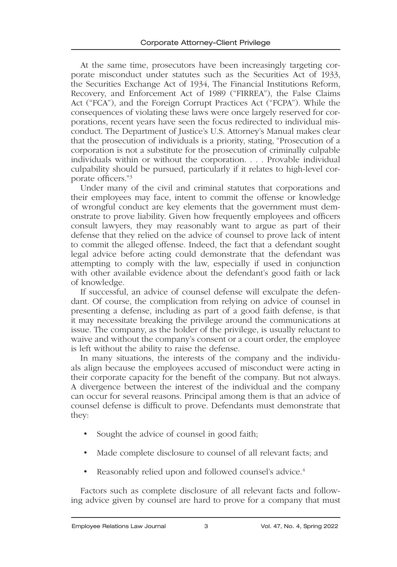At the same time, prosecutors have been increasingly targeting corporate misconduct under statutes such as the Securities Act of 1933, the Securities Exchange Act of 1934, The Financial Institutions Reform, Recovery, and Enforcement Act of 1989 ("FIRREA"), the False Claims Act ("FCA"), and the Foreign Corrupt Practices Act ("FCPA"). While the consequences of violating these laws were once largely reserved for corporations, recent years have seen the focus redirected to individual misconduct. The Department of Justice's U.S. Attorney's Manual makes clear that the prosecution of individuals is a priority, stating, "Prosecution of a corporation is not a substitute for the prosecution of criminally culpable individuals within or without the corporation. . . . Provable individual culpability should be pursued, particularly if it relates to high-level corporate officers."3

Under many of the civil and criminal statutes that corporations and their employees may face, intent to commit the offense or knowledge of wrongful conduct are key elements that the government must demonstrate to prove liability. Given how frequently employees and officers consult lawyers, they may reasonably want to argue as part of their defense that they relied on the advice of counsel to prove lack of intent to commit the alleged offense. Indeed, the fact that a defendant sought legal advice before acting could demonstrate that the defendant was attempting to comply with the law, especially if used in conjunction with other available evidence about the defendant's good faith or lack of knowledge.

If successful, an advice of counsel defense will exculpate the defendant. Of course, the complication from relying on advice of counsel in presenting a defense, including as part of a good faith defense, is that it may necessitate breaking the privilege around the communications at issue. The company, as the holder of the privilege, is usually reluctant to waive and without the company's consent or a court order, the employee is left without the ability to raise the defense.

In many situations, the interests of the company and the individuals align because the employees accused of misconduct were acting in their corporate capacity for the benefit of the company. But not always. A divergence between the interest of the individual and the company can occur for several reasons. Principal among them is that an advice of counsel defense is difficult to prove. Defendants must demonstrate that they:

- Sought the advice of counsel in good faith;
- Made complete disclosure to counsel of all relevant facts; and
- Reasonably relied upon and followed counsel's advice.<sup>4</sup>

Factors such as complete disclosure of all relevant facts and following advice given by counsel are hard to prove for a company that must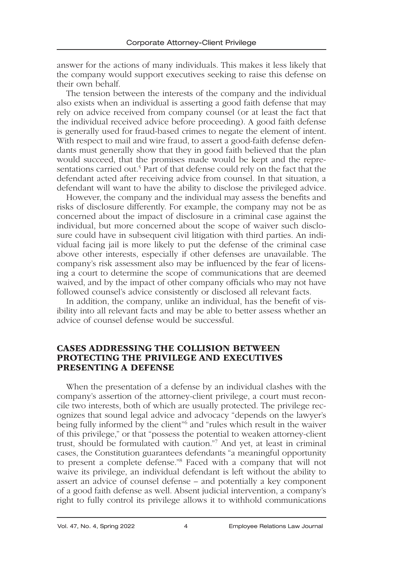answer for the actions of many individuals. This makes it less likely that the company would support executives seeking to raise this defense on their own behalf.

The tension between the interests of the company and the individual also exists when an individual is asserting a good faith defense that may rely on advice received from company counsel (or at least the fact that the individual received advice before proceeding). A good faith defense is generally used for fraud-based crimes to negate the element of intent. With respect to mail and wire fraud, to assert a good-faith defense defendants must generally show that they in good faith believed that the plan would succeed, that the promises made would be kept and the representations carried out.<sup>5</sup> Part of that defense could rely on the fact that the defendant acted after receiving advice from counsel. In that situation, a defendant will want to have the ability to disclose the privileged advice.

However, the company and the individual may assess the benefits and risks of disclosure differently. For example, the company may not be as concerned about the impact of disclosure in a criminal case against the individual, but more concerned about the scope of waiver such disclosure could have in subsequent civil litigation with third parties. An individual facing jail is more likely to put the defense of the criminal case above other interests, especially if other defenses are unavailable. The company's risk assessment also may be influenced by the fear of licensing a court to determine the scope of communications that are deemed waived, and by the impact of other company officials who may not have followed counsel's advice consistently or disclosed all relevant facts.

In addition, the company, unlike an individual, has the benefit of visibility into all relevant facts and may be able to better assess whether an advice of counsel defense would be successful.

#### CASES ADDRESSING THE COLLISION BETWEEN PROTECTING THE PRIVILEGE AND EXECUTIVES PRESENTING A DEFENSE

When the presentation of a defense by an individual clashes with the company's assertion of the attorney-client privilege, a court must reconcile two interests, both of which are usually protected. The privilege recognizes that sound legal advice and advocacy "depends on the lawyer's being fully informed by the client<sup>"6</sup> and "rules which result in the waiver of this privilege," or that "possess the potential to weaken attorney-client trust, should be formulated with caution."7 And yet, at least in criminal cases, the Constitution guarantees defendants "a meaningful opportunity to present a complete defense."8 Faced with a company that will not waive its privilege, an individual defendant is left without the ability to assert an advice of counsel defense – and potentially a key component of a good faith defense as well. Absent judicial intervention, a company's right to fully control its privilege allows it to withhold communications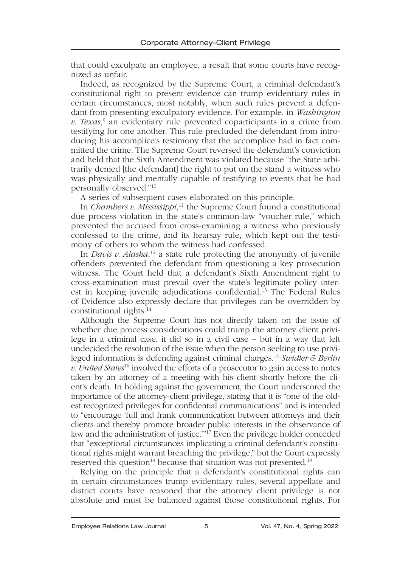that could exculpate an employee, a result that some courts have recognized as unfair.

Indeed, as recognized by the Supreme Court, a criminal defendant's constitutional right to present evidence can trump evidentiary rules in certain circumstances, most notably, when such rules prevent a defendant from presenting exculpatory evidence. For example, in *Washington v. Texas*, 9 an evidentiary rule prevented coparticipants in a crime from testifying for one another. This rule precluded the defendant from introducing his accomplice's testimony that the accomplice had in fact committed the crime. The Supreme Court reversed the defendant's conviction and held that the Sixth Amendment was violated because "the State arbitrarily denied [the defendant] the right to put on the stand a witness who was physically and mentally capable of testifying to events that he had personally observed."10

A series of subsequent cases elaborated on this principle.

In *Chambers v. Mississippi*, 11 the Supreme Court found a constitutional due process violation in the state's common-law "voucher rule," which prevented the accused from cross-examining a witness who previously confessed to the crime, and its hearsay rule, which kept out the testimony of others to whom the witness had confessed.

In *Davis v. Alaska*, 12 a state rule protecting the anonymity of juvenile offenders prevented the defendant from questioning a key prosecution witness. The Court held that a defendant's Sixth Amendment right to cross-examination must prevail over the state's legitimate policy interest in keeping juvenile adjudications confidential.13 The Federal Rules of Evidence also expressly declare that privileges can be overridden by constitutional rights.14

Although the Supreme Court has not directly taken on the issue of whether due process considerations could trump the attorney client privilege in a criminal case, it did so in a civil case – but in a way that left undecided the resolution of the issue when the person seeking to use privileged information is defending against criminal charges.15 *Swidler & Berlin v. United States*16 involved the efforts of a prosecutor to gain access to notes taken by an attorney of a meeting with his client shortly before the client's death. In holding against the government, the Court underscored the importance of the attorney-client privilege, stating that it is "one of the oldest recognized privileges for confidential communications" and is intended to "encourage 'full and frank communication between attorneys and their clients and thereby promote broader public interests in the observance of law and the administration of justice.'"17 Even the privilege holder conceded that "exceptional circumstances implicating a criminal defendant's constitutional rights might warrant breaching the privilege," but the Court expressly reserved this question<sup>18</sup> because that situation was not presented.<sup>19</sup>

Relying on the principle that a defendant's constitutional rights can in certain circumstances trump evidentiary rules, several appellate and district courts have reasoned that the attorney client privilege is not absolute and must be balanced against those constitutional rights. For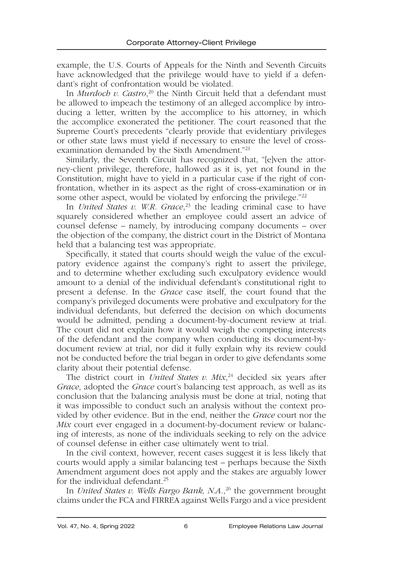example, the U.S. Courts of Appeals for the Ninth and Seventh Circuits have acknowledged that the privilege would have to yield if a defendant's right of confrontation would be violated.

In *Murdoch v. Castro*, 20 the Ninth Circuit held that a defendant must be allowed to impeach the testimony of an alleged accomplice by introducing a letter, written by the accomplice to his attorney, in which the accomplice exonerated the petitioner. The court reasoned that the Supreme Court's precedents "clearly provide that evidentiary privileges or other state laws must yield if necessary to ensure the level of crossexamination demanded by the Sixth Amendment."21

Similarly, the Seventh Circuit has recognized that, "[e]ven the attorney-client privilege, therefore, hallowed as it is, yet not found in the Constitution, might have to yield in a particular case if the right of confrontation, whether in its aspect as the right of cross-examination or in some other aspect, would be violated by enforcing the privilege."<sup>22</sup>

In *United States v. W.R. Grace*, 23 the leading criminal case to have squarely considered whether an employee could assert an advice of counsel defense – namely, by introducing company documents – over the objection of the company, the district court in the District of Montana held that a balancing test was appropriate.

Specifically, it stated that courts should weigh the value of the exculpatory evidence against the company's right to assert the privilege, and to determine whether excluding such exculpatory evidence would amount to a denial of the individual defendant's constitutional right to present a defense. In the *Grace* case itself, the court found that the company's privileged documents were probative and exculpatory for the individual defendants, but deferred the decision on which documents would be admitted, pending a document-by-document review at trial. The court did not explain how it would weigh the competing interests of the defendant and the company when conducting its document-bydocument review at trial, nor did it fully explain why its review could not be conducted before the trial began in order to give defendants some clarity about their potential defense.

The district court in *United States v. Mix*,<sup>24</sup> decided six years after *Grace*, adopted the *Grace* court's balancing test approach, as well as its conclusion that the balancing analysis must be done at trial, noting that it was impossible to conduct such an analysis without the context provided by other evidence. But in the end, neither the *Grace* court nor the *Mix* court ever engaged in a document-by-document review or balancing of interests, as none of the individuals seeking to rely on the advice of counsel defense in either case ultimately went to trial.

In the civil context, however, recent cases suggest it is less likely that courts would apply a similar balancing test – perhaps because the Sixth Amendment argument does not apply and the stakes are arguably lower for the individual defendant.<sup>25</sup>

In *United States v. Wells Fargo Bank, N.A.*, 26 the government brought claims under the FCA and FIRREA against Wells Fargo and a vice president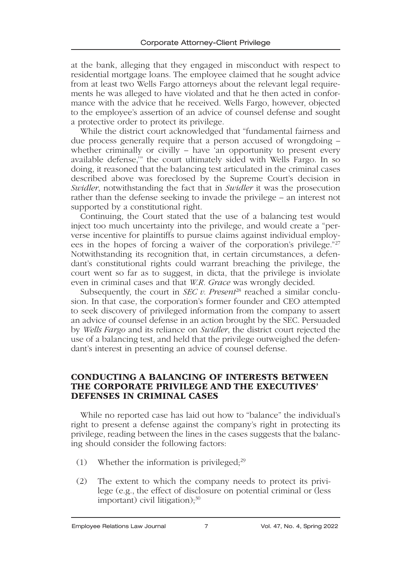at the bank, alleging that they engaged in misconduct with respect to residential mortgage loans. The employee claimed that he sought advice from at least two Wells Fargo attorneys about the relevant legal requirements he was alleged to have violated and that he then acted in conformance with the advice that he received. Wells Fargo, however, objected to the employee's assertion of an advice of counsel defense and sought a protective order to protect its privilege.

While the district court acknowledged that "fundamental fairness and due process generally require that a person accused of wrongdoing – whether criminally or civilly – have 'an opportunity to present every available defense,'" the court ultimately sided with Wells Fargo. In so doing, it reasoned that the balancing test articulated in the criminal cases described above was foreclosed by the Supreme Court's decision in *Swidler*, notwithstanding the fact that in *Swidler* it was the prosecution rather than the defense seeking to invade the privilege – an interest not supported by a constitutional right.

Continuing, the Court stated that the use of a balancing test would inject too much uncertainty into the privilege, and would create a "perverse incentive for plaintiffs to pursue claims against individual employees in the hopes of forcing a waiver of the corporation's privilege."27 Notwithstanding its recognition that, in certain circumstances, a defendant's constitutional rights could warrant breaching the privilege, the court went so far as to suggest, in dicta, that the privilege is inviolate even in criminal cases and that *W.R. Grace* was wrongly decided.

Subsequently, the court in *SEC v. Present*<sup>28</sup> reached a similar conclusion. In that case, the corporation's former founder and CEO attempted to seek discovery of privileged information from the company to assert an advice of counsel defense in an action brought by the SEC. Persuaded by *Wells Fargo* and its reliance on *Swidler*, the district court rejected the use of a balancing test, and held that the privilege outweighed the defendant's interest in presenting an advice of counsel defense.

#### CONDUCTING A BALANCING OF INTERESTS BETWEEN THE CORPORATE PRIVILEGE AND THE EXECUTIVES' DEFENSES IN CRIMINAL CASES

While no reported case has laid out how to "balance" the individual's right to present a defense against the company's right in protecting its privilege, reading between the lines in the cases suggests that the balancing should consider the following factors:

- (1) Whether the information is privileged; $29$
- (2) The extent to which the company needs to protect its privilege (e.g., the effect of disclosure on potential criminal or (less important) civil litigation); $30$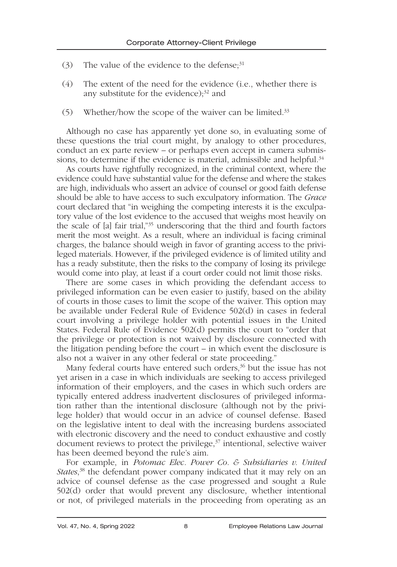- (3) The value of the evidence to the defense; $31$
- (4) The extent of the need for the evidence (i.e., whether there is any substitute for the evidence); $32$  and
- (5) Whether/how the scope of the waiver can be limited.33

Although no case has apparently yet done so, in evaluating some of these questions the trial court might, by analogy to other procedures, conduct an ex parte review – or perhaps even accept in camera submissions, to determine if the evidence is material, admissible and helpful.<sup>34</sup>

As courts have rightfully recognized, in the criminal context, where the evidence could have substantial value for the defense and where the stakes are high, individuals who assert an advice of counsel or good faith defense should be able to have access to such exculpatory information. The *Grace* court declared that "in weighing the competing interests it is the exculpatory value of the lost evidence to the accused that weighs most heavily on the scale of [a] fair trial,"35 underscoring that the third and fourth factors merit the most weight. As a result, where an individual is facing criminal charges, the balance should weigh in favor of granting access to the privileged materials. However, if the privileged evidence is of limited utility and has a ready substitute, then the risks to the company of losing its privilege would come into play, at least if a court order could not limit those risks.

There are some cases in which providing the defendant access to privileged information can be even easier to justify, based on the ability of courts in those cases to limit the scope of the waiver. This option may be available under Federal Rule of Evidence 502(d) in cases in federal court involving a privilege holder with potential issues in the United States. Federal Rule of Evidence 502(d) permits the court to "order that the privilege or protection is not waived by disclosure connected with the litigation pending before the court – in which event the disclosure is also not a waiver in any other federal or state proceeding."

Many federal courts have entered such orders,<sup>36</sup> but the issue has not yet arisen in a case in which individuals are seeking to access privileged information of their employers, and the cases in which such orders are typically entered address inadvertent disclosures of privileged information rather than the intentional disclosure (although not by the privilege holder) that would occur in an advice of counsel defense. Based on the legislative intent to deal with the increasing burdens associated with electronic discovery and the need to conduct exhaustive and costly document reviews to protect the privilege, $37$  intentional, selective waiver has been deemed beyond the rule's aim.

For example, in *Potomac Elec. Power Co. & Subsidiaries v. United States*, 38 the defendant power company indicated that it may rely on an advice of counsel defense as the case progressed and sought a Rule 502(d) order that would prevent any disclosure, whether intentional or not, of privileged materials in the proceeding from operating as an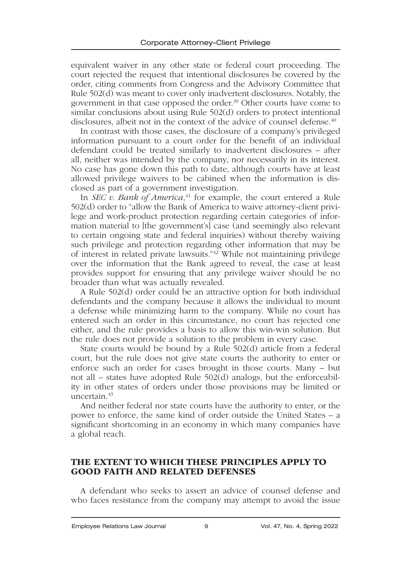equivalent waiver in any other state or federal court proceeding. The court rejected the request that intentional disclosures be covered by the order, citing comments from Congress and the Advisory Committee that Rule 502(d) was meant to cover only inadvertent disclosures. Notably, the government in that case opposed the order.<sup>39</sup> Other courts have come to similar conclusions about using Rule 502(d) orders to protect intentional disclosures, albeit not in the context of the advice of counsel defense.<sup>40</sup>

In contrast with those cases, the disclosure of a company's privileged information pursuant to a court order for the benefit of an individual defendant could be treated similarly to inadvertent disclosures – after all, neither was intended by the company, nor necessarily in its interest. No case has gone down this path to date, although courts have at least allowed privilege waivers to be cabined when the information is disclosed as part of a government investigation.

In *SEC v. Bank of America*, 41 for example, the court entered a Rule 502(d) order to "allow the Bank of America to waive attorney-client privilege and work-product protection regarding certain categories of information material to [the government's] case (and seemingly also relevant to certain ongoing state and federal inquiries) without thereby waiving such privilege and protection regarding other information that may be of interest in related private lawsuits."42 While not maintaining privilege over the information that the Bank agreed to reveal, the case at least provides support for ensuring that any privilege waiver should be no broader than what was actually revealed.

A Rule 502(d) order could be an attractive option for both individual defendants and the company because it allows the individual to mount a defense while minimizing harm to the company. While no court has entered such an order in this circumstance, no court has rejected one either, and the rule provides a basis to allow this win-win solution. But the rule does not provide a solution to the problem in every case.

State courts would be bound by a Rule 502(d) article from a federal court, but the rule does not give state courts the authority to enter or enforce such an order for cases brought in those courts. Many – but not all – states have adopted Rule 502(d) analogs, but the enforceability in other states of orders under those provisions may be limited or uncertain.<sup>43</sup>

And neither federal nor state courts have the authority to enter, or the power to enforce, the same kind of order outside the United States – a significant shortcoming in an economy in which many companies have a global reach.

#### THE EXTENT TO WHICH THESE PRINCIPLES APPLY TO GOOD FAITH AND RELATED DEFENSES

A defendant who seeks to assert an advice of counsel defense and who faces resistance from the company may attempt to avoid the issue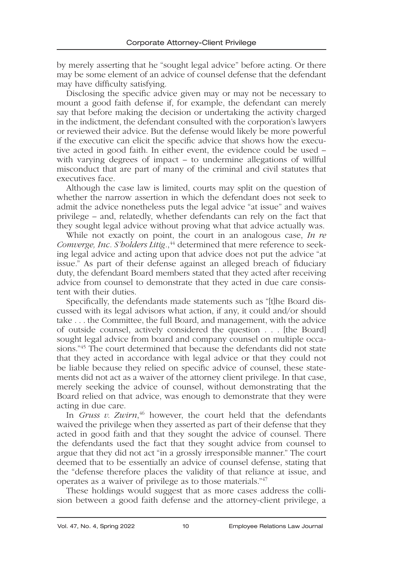by merely asserting that he "sought legal advice" before acting. Or there may be some element of an advice of counsel defense that the defendant may have difficulty satisfying.

Disclosing the specific advice given may or may not be necessary to mount a good faith defense if, for example, the defendant can merely say that before making the decision or undertaking the activity charged in the indictment, the defendant consulted with the corporation's lawyers or reviewed their advice. But the defense would likely be more powerful if the executive can elicit the specific advice that shows how the executive acted in good faith. In either event, the evidence could be used – with varying degrees of impact – to undermine allegations of willful misconduct that are part of many of the criminal and civil statutes that executives face.

Although the case law is limited, courts may split on the question of whether the narrow assertion in which the defendant does not seek to admit the advice nonetheless puts the legal advice "at issue" and waives privilege – and, relatedly, whether defendants can rely on the fact that they sought legal advice without proving what that advice actually was.

While not exactly on point, the court in an analogous case, *In re Comverge, Inc. S'holders Litig.*, 44 determined that mere reference to seeking legal advice and acting upon that advice does not put the advice "at issue." As part of their defense against an alleged breach of fiduciary duty, the defendant Board members stated that they acted after receiving advice from counsel to demonstrate that they acted in due care consistent with their duties.

Specifically, the defendants made statements such as "[t]he Board discussed with its legal advisors what action, if any, it could and/or should take . . . the Committee, the full Board, and management, with the advice of outside counsel, actively considered the question . . . [the Board] sought legal advice from board and company counsel on multiple occasions."45 The court determined that because the defendants did not state that they acted in accordance with legal advice or that they could not be liable because they relied on specific advice of counsel, these statements did not act as a waiver of the attorney client privilege. In that case, merely seeking the advice of counsel, without demonstrating that the Board relied on that advice, was enough to demonstrate that they were acting in due care.

In *Gruss v. Zwirn*, 46 however, the court held that the defendants waived the privilege when they asserted as part of their defense that they acted in good faith and that they sought the advice of counsel. There the defendants used the fact that they sought advice from counsel to argue that they did not act "in a grossly irresponsible manner." The court deemed that to be essentially an advice of counsel defense, stating that the "defense therefore places the validity of that reliance at issue, and operates as a waiver of privilege as to those materials."47

These holdings would suggest that as more cases address the collision between a good faith defense and the attorney-client privilege, a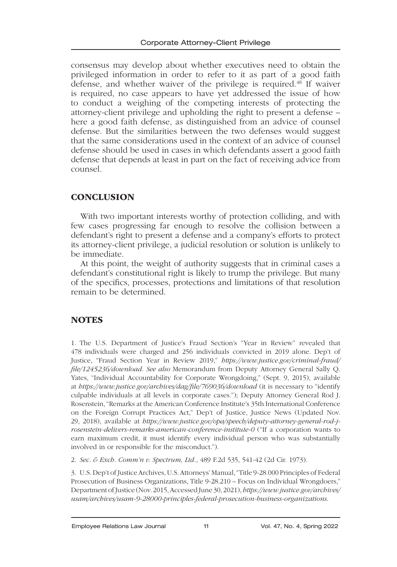consensus may develop about whether executives need to obtain the privileged information in order to refer to it as part of a good faith defense, and whether waiver of the privilege is required.48 If waiver is required, no case appears to have yet addressed the issue of how to conduct a weighing of the competing interests of protecting the attorney-client privilege and upholding the right to present a defense – here a good faith defense, as distinguished from an advice of counsel defense. But the similarities between the two defenses would suggest that the same considerations used in the context of an advice of counsel defense should be used in cases in which defendants assert a good faith defense that depends at least in part on the fact of receiving advice from counsel.

### **CONCLUSION**

With two important interests worthy of protection colliding, and with few cases progressing far enough to resolve the collision between a defendant's right to present a defense and a company's efforts to protect its attorney-client privilege, a judicial resolution or solution is unlikely to be immediate.

At this point, the weight of authority suggests that in criminal cases a defendant's constitutional right is likely to trump the privilege. But many of the specifics, processes, protections and limitations of that resolution remain to be determined.

## **NOTES**

1. The U.S. Department of Justice's Fraud Section's "Year in Review" revealed that 478 individuals were charged and 256 individuals convicted in 2019 alone. Dep't of Justice, "Fraud Section Year in Review 2019," *https://www.justice.gov/criminal-fraud/ file/1245236/download*. *See also* Memorandum from Deputy Attorney General Sally Q. Yates, "Individual Accountability for Corporate Wrongdoing," (Sept. 9, 2015), available at *https://www.justice.gov/archives/dag/file/769036/download* (it is necessary to "identify culpable individuals at all levels in corporate cases."); Deputy Attorney General Rod J. Rosenstein, "Remarks at the American Conference Institute's 35th International Conference on the Foreign Corrupt Practices Act," Dep't of Justice, Justice News (Updated Nov. 29, 2018), available at *https://www.justice.gov/opa/speech/deputy-attorney-general-rod-jrosenstein-delivers-remarks-american-conference-institute-0* ("If a corporation wants to earn maximum credit, it must identify every individual person who was substantially involved in or responsible for the misconduct.").

2. *Sec. & Exch. Comm'n v. Spectrum, Ltd.*, 489 F.2d 535, 541-42 (2d Cir. 1973).

3. U.S. Dep't of Justice Archives, U.S. Attorneys' Manual, "Title 9-28.000 Principles of Federal Prosecution of Business Organizations, Title 9-28.210 – Focus on Individual Wrongdoers," Department of Justice (Nov. 2015, Accessed June 30, 2021), *https://www.justice.gov/archives/ usam/archives/usam-9-28000-principles-federal-prosecution-business-organizations*.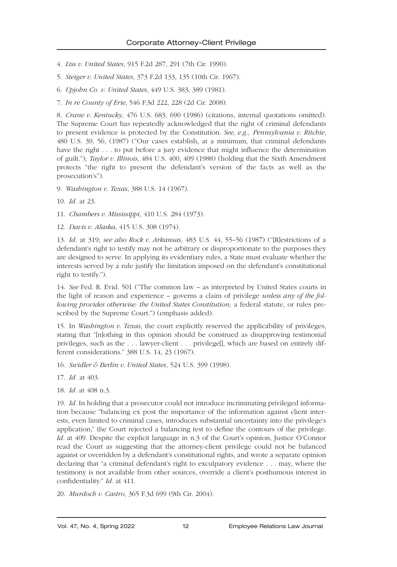- 4. *Liss v. United States*, 915 F.2d 287, 291 (7th Cir. 1990).
- 5. *Steiger v. United States*, 373 F.2d 133, 135 (10th Cir. 1967).
- 6. *Upjohn Co. v. United States*, 449 U.S. 383, 389 (1981).
- 7. *In re County of Erie*, 546 F.3d 222, 228 (2d Cir. 2008).

8. *Crane v. Kentucky*, 476 U.S. 683, 690 (1986) (citations, internal quotations omitted). The Supreme Court has repeatedly acknowledged that the right of criminal defendants to present evidence is protected by the Constitution. *See, e.g., Pennsylvania v. Ritchie*, 480 U.S. 39, 56, (1987) ("Our cases establish, at a minimum, that criminal defendants have the right . . . to put before a jury evidence that might influence the determination of guilt."); *Taylor v. Illinois*, 484 U.S. 400, 409 (1988) (holding that the Sixth Amendment protects "the right to present the defendant's version of the facts as well as the prosecution's").

9. *Washington v. Texas*, 388 U.S. 14 (1967).

10. *Id.* at 23.

11. *Chambers v. Mississippi*, 410 U.S. 284 (1973).

12. *Davis v. Alaska*, 415 U.S. 308 (1974).

13. *Id.* at 319; *see also Rock v. Arkansas*, 483 U.S. 44, 55–56 (1987) ("[R]estrictions of a defendant's right to testify may not be arbitrary or disproportionate to the purposes they are designed to serve. In applying its evidentiary rules, a State must evaluate whether the interests served by a rule justify the limitation imposed on the defendant's constitutional right to testify.").

14. *See* Fed. R. Evid. 501 ("The common law – as interpreted by United States courts in the light of reason and experience – governs a claim of privilege *unless any of the following provides otherwise: the United States Constitution;* a federal statute, or rules prescribed by the Supreme Court.") (emphasis added).

15. In *Washington v. Texas*, the court explicitly reserved the applicability of privileges, stating that "[n]othing in this opinion should be construed as disapproving testimonial privileges, such as the . . . lawyer-client . . . privilege[], which are based on entirely different considerations." 388 U.S. 14, 23 (1967).

- 16. *Swidler & Berlin v. United States*, 524 U.S. 399 (1998).
- 17. *Id.* at 403.
- 18. *Id.* at 408 n.3.

19. *Id.* In holding that a prosecutor could not introduce incriminating privileged information because "balancing ex post the importance of the information against client interests, even limited to criminal cases, introduces substantial uncertainty into the privilege's application," the Court rejected a balancing test to define the contours of the privilege. *Id.* at 409. Despite the explicit language in n.3 of the Court's opinion, Justice O'Connor read the Court as suggesting that the attorney-client privilege could not be balanced against or overridden by a defendant's constitutional rights, and wrote a separate opinion declaring that "a criminal defendant's right to exculpatory evidence . . . may, where the testimony is not available from other sources, override a client's posthumous interest in confidentiality." *Id.* at 411.

20. *Murdoch v. Castro*, 365 F.3d 699 (9th Cir. 2004).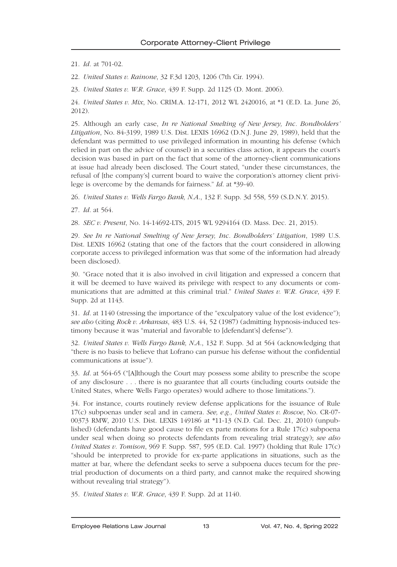21. *Id.* at 701-02.

22. *United States v. Rainone*, 32 F.3d 1203, 1206 (7th Cir. 1994).

23. *United States v. W.R. Grace*, 439 F. Supp. 2d 1125 (D. Mont. 2006).

24. *United States v. Mix*, No. CRIM.A. 12-171, 2012 WL 2420016, at \*1 (E.D. La. June 26, 2012).

25. Although an early case, *In re National Smelting of New Jersey, Inc. Bondholders' Litigation*, No. 84-3199, 1989 U.S. Dist. LEXIS 16962 (D.N.J. June 29, 1989), held that the defendant was permitted to use privileged information in mounting his defense (which relied in part on the advice of counsel) in a securities class action, it appears the court's decision was based in part on the fact that some of the attorney-client communications at issue had already been disclosed. The Court stated, "under these circumstances, the refusal of [the company's] current board to waive the corporation's attorney client privilege is overcome by the demands for fairness." *Id*. at \*39-40.

26. *United States v. Wells Fargo Bank, N.A*., 132 F. Supp. 3d 558, 559 (S.D.N.Y. 2015).

27. *Id.* at 564.

28. *SEC v. Present*, No. 14-14692-LTS, 2015 WL 9294164 (D. Mass. Dec. 21, 2015).

29. *See In re National Smelting of New Jersey, Inc. Bondholders' Litigation*, 1989 U.S. Dist. LEXIS 16962 (stating that one of the factors that the court considered in allowing corporate access to privileged information was that some of the information had already been disclosed).

30. "Grace noted that it is also involved in civil litigation and expressed a concern that it will be deemed to have waived its privilege with respect to any documents or communications that are admitted at this criminal trial." *United States v. W.R. Grace*, 439 F. Supp. 2d at 1143.

31. *Id.* at 1140 (stressing the importance of the "exculpatory value of the lost evidence"); *see also* (citing *Rock v. Arkansas*, 483 U.S. 44, 52 (1987) (admitting hypnosis-induced testimony because it was "material and favorable to [defendant's] defense").

32. *United States v. Wells Fargo Bank, N.A*., 132 F. Supp. 3d at 564 (acknowledging that "there is no basis to believe that Lofrano can pursue his defense without the confidential communications at issue").

33. *Id.* at 564-65 ("[A]lthough the Court may possess some ability to prescribe the scope of any disclosure . . . there is no guarantee that all courts (including courts outside the United States, where Wells Fargo operates) would adhere to those limitations.").

34. For instance, courts routinely review defense applications for the issuance of Rule 17(c) subpoenas under seal and in camera. *See, e.g., United States v. Roscoe*, No. CR-07- 00373 RMW, 2010 U.S. Dist. LEXIS 149186 at \*11-13 (N.D. Cal. Dec. 21, 2010) (unpublished) (defendants have good cause to file ex parte motions for a Rule 17(c) subpoena under seal when doing so protects defendants from revealing trial strategy); *see also United States v. Tomison*, 969 F. Supp. 587, 595 (E.D. Cal. 1997) (holding that Rule 17(c) "should be interpreted to provide for ex-parte applications in situations, such as the matter at bar, where the defendant seeks to serve a subpoena duces tecum for the pretrial production of documents on a third party, and cannot make the required showing without revealing trial strategy").

35. *United States v. W.R. Grace*, 439 F. Supp. 2d at 1140.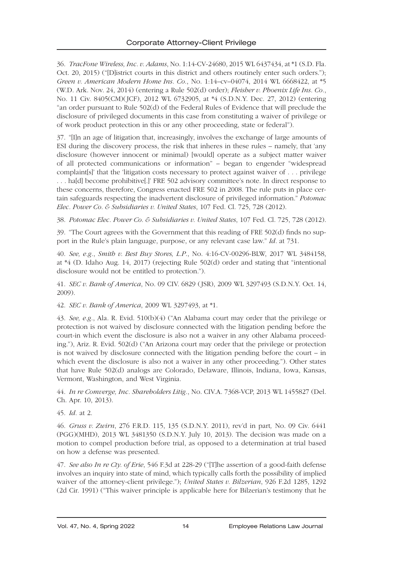36. *TracFone Wireless, Inc. v. Adams*, No. 1:14-CV-24680, 2015 WL 6437434, at \*1 (S.D. Fla. Oct. 20, 2015) ("[D]istrict courts in this district and others routinely enter such orders."); *Green v. American Modern Home Ins. Co.*, No. 1:14–cv–04074, 2014 WL 6668422, at \*5 (W.D. Ark. Nov. 24, 2014) (entering a Rule 502(d) order); *Fleisher v. Phoenix Life Ins. Co.*, No. 11 Civ. 8405(CM)(JCF), 2012 WL 6732905, at \*4 (S.D.N.Y. Dec. 27, 2012) (entering "an order pursuant to Rule 502(d) of the Federal Rules of Evidence that will preclude the disclosure of privileged documents in this case from constituting a waiver of privilege or of work product protection in this or any other proceeding, state or federal").

37. "[I]n an age of litigation that, increasingly, involves the exchange of large amounts of ESI during the discovery process, the risk that inheres in these rules – namely, that 'any disclosure (however innocent or minimal) [would] operate as a subject matter waiver of all protected communications or information" – began to engender "widespread complaint[s]' that the 'litigation costs necessary to protect against waiver of . . . privilege . . . ha[d] become prohibitive[.]' FRE 502 advisory committee's note. In direct response to these concerns, therefore, Congress enacted FRE 502 in 2008. The rule puts in place certain safeguards respecting the inadvertent disclosure of privileged information." *Potomac Elec. Power Co. & Subsidiaries v. United States*, 107 Fed. Cl. 725, 728 (2012).

38. *Potomac Elec. Power Co. & Subsidiaries v. United States*, 107 Fed. Cl. 725, 728 (2012).

39. "The Court agrees with the Government that this reading of FRE 502(d) finds no support in the Rule's plain language, purpose, or any relevant case law." *Id.* at 731.

40. *See, e.g.*, *Smith v. Best Buy Stores, L.P*., No. 4:16-CV-00296-BLW, 2017 WL 3484158, at \*4 (D. Idaho Aug. 14, 2017) (rejecting Rule 502(d) order and stating that "intentional disclosure would not be entitled to protection.").

41. *SEC v. Bank of America*, No. 09 CIV. 6829 (JSR), 2009 WL 3297493 (S.D.N.Y. Oct. 14, 2009).

42. *SEC v. Bank of America*, 2009 WL 3297493, at \*1.

43. *See, e.g.*, Ala. R. Evid. 510(b)(4) ("An Alabama court may order that the privilege or protection is not waived by disclosure connected with the litigation pending before the court-in which event the disclosure is also not a waiver in any other Alabama proceeding."), Ariz. R. Evid. 502(d) ("An Arizona court may order that the privilege or protection is not waived by disclosure connected with the litigation pending before the court – in which event the disclosure is also not a waiver in any other proceeding."). Other states that have Rule 502(d) analogs are Colorado, Delaware, Illinois, Indiana, Iowa, Kansas, Vermont, Washington, and West Virginia.

44. *In re Comverge, Inc. Shareholders Litig.*, No. CIV.A. 7368-VCP, 2013 WL 1455827 (Del. Ch. Apr. 10, 2013).

45. *Id.* at 2.

46. *Gruss v. Zwirn*, 276 F.R.D. 115, 135 (S.D.N.Y. 2011), rev'd in part*,* No. 09 Civ. 6441 (PGG)(MHD), 2013 WL 3481350 (S.D.N.Y. July 10, 2013). The decision was made on a motion to compel production before trial, as opposed to a determination at trial based on how a defense was presented.

47. *See also In re Cty. of Erie*, 546 F.3d at 228-29 ("[T]he assertion of a good-faith defense involves an inquiry into state of mind, which typically calls forth the possibility of implied waiver of the attorney-client privilege."); *United States v. Bilzerian*, 926 F.2d 1285, 1292 (2d Cir. 1991) ("This waiver principle is applicable here for Bilzerian's testimony that he